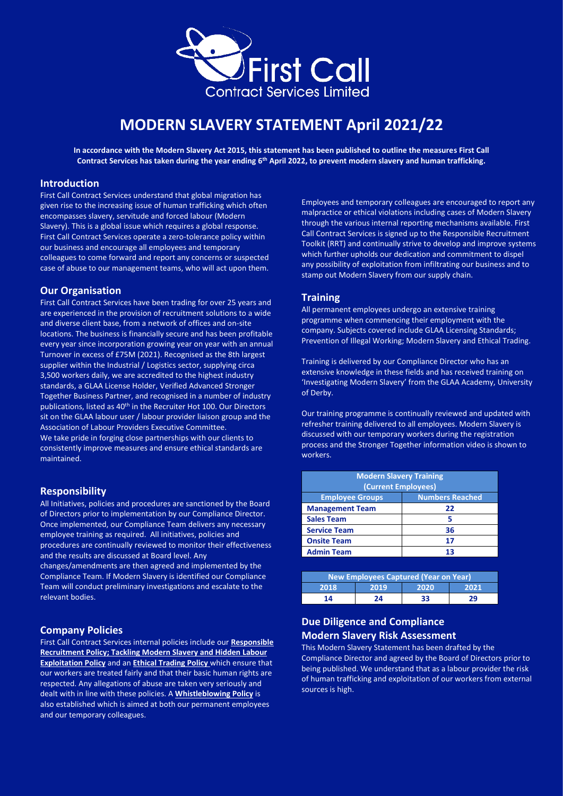

# **MODERN SLAVERY STATEMENT April 2021/22**

**In accordance with the Modern Slavery Act 2015, this statement has been published to outline the measures First Call Contract Services has taken during the year ending 6 th April 2022, to prevent modern slavery and human trafficking.**

### **Introduction**

First Call Contract Services understand that global migration has given rise to the increasing issue of human trafficking which often encompasses slavery, servitude and forced labour (Modern Slavery). This is a global issue which requires a global response. First Call Contract Services operate a zero-tolerance policy within our business and encourage all employees and temporary colleagues to come forward and report any concerns or suspected case of abuse to our management teams, who will act upon them.

### **Our Organisation**

First Call Contract Services have been trading for over 25 years and are experienced in the provision of recruitment solutions to a wide and diverse client base, from a network of offices and on-site locations. The business is financially secure and has been profitable every year since incorporation growing year on year with an annual Turnover in excess of £75M (2021). Recognised as the 8th largest supplier within the Industrial / Logistics sector, supplying circa 3,500 workers daily, we are accredited to the highest industry standards, a GLAA License Holder, Verified Advanced Stronger Together Business Partner, and recognised in a number of industry publications, listed as 40<sup>th</sup> in the Recruiter Hot 100. Our Directors sit on the GLAA labour user / labour provider liaison group and the Association of Labour Providers Executive Committee. We take pride in forging close partnerships with our clients to consistently improve measures and ensure ethical standards are maintained.

### **Responsibility**

All Initiatives, policies and procedures are sanctioned by the Board of Directors prior to implementation by our Compliance Director. Once implemented, our Compliance Team delivers any necessary employee training as required. All initiatives, policies and procedures are continually reviewed to monitor their effectiveness and the results are discussed at Board level. Any

changes/amendments are then agreed and implemented by the Compliance Team. If Modern Slavery is identified our Compliance Team will conduct preliminary investigations and escalate to the relevant bodies.

### **Company Policies**

First Call Contract Services internal policies include our **Responsible Recruitment Policy; Tackling Modern Slavery and Hidden Labour Exploitation Policy** and an **Ethical Trading Policy** which ensure that our workers are treated fairly and that their basic human rights are respected. Any allegations of abuse are taken very seriously and dealt with in line with these policies. A **Whistleblowing Policy** is also established which is aimed at both our permanent employees and our temporary colleagues.

Employees and temporary colleagues are encouraged to report any malpractice or ethical violations including cases of Modern Slavery through the various internal reporting mechanisms available. First Call Contract Services is signed up to the Responsible Recruitment Toolkit (RRT) and continually strive to develop and improve systems which further upholds our dedication and commitment to dispel any possibility of exploitation from infiltrating our business and to stamp out Modern Slavery from our supply chain.

### **Training**

All permanent employees undergo an extensive training programme when commencing their employment with the company. Subjects covered include GLAA Licensing Standards; Prevention of Illegal Working; Modern Slavery and Ethical Trading.

Training is delivered by our Compliance Director who has an extensive knowledge in these fields and has received training on 'Investigating Modern Slavery' from the GLAA Academy, University of Derby.

Our training programme is continually reviewed and updated with refresher training delivered to all employees. Modern Slavery is discussed with our temporary workers during the registration process and the Stronger Together information video is shown to workers.

| <b>Modern Slavery Training</b><br>(Current Employees) |                        |  |  |  |
|-------------------------------------------------------|------------------------|--|--|--|
| <b>Employee Groups</b>                                | <b>Numbers Reached</b> |  |  |  |
| <b>Management Team</b>                                | 22                     |  |  |  |
| <b>Sales Team</b>                                     | 5                      |  |  |  |
| <b>Service Team</b>                                   | 36                     |  |  |  |
| <b>Onsite Team</b>                                    | 17                     |  |  |  |
| <b>Admin Team</b>                                     | 13                     |  |  |  |

| <b>New Employees Captured (Year on Year)</b> |      |      |      |  |  |
|----------------------------------------------|------|------|------|--|--|
| 2018                                         | 2019 | 2020 | 2021 |  |  |
| 14                                           | 24   | 33   | 29   |  |  |

## **Due Diligence and Compliance Modern Slavery Risk Assessment**

This Modern Slavery Statement has been drafted by the Compliance Director and agreed by the Board of Directors prior to being published. We understand that as a labour provider the risk of human trafficking and exploitation of our workers from external sources is high.